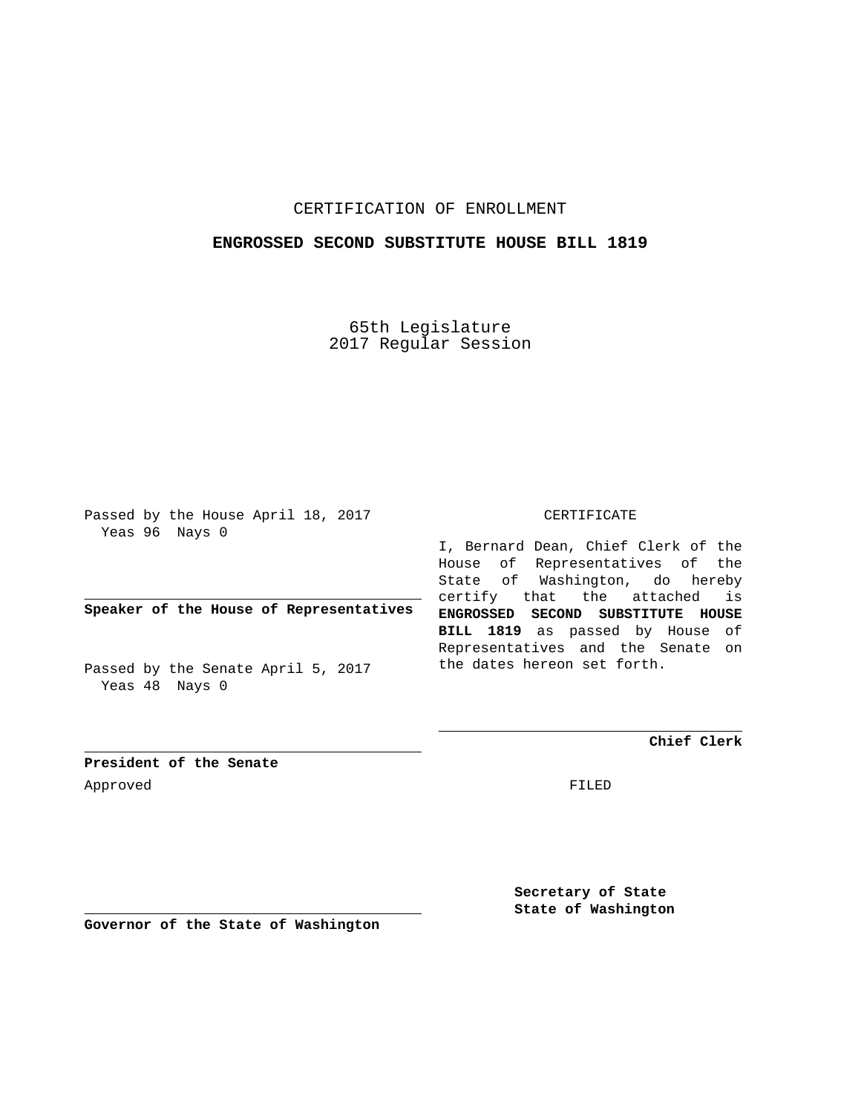## CERTIFICATION OF ENROLLMENT

## **ENGROSSED SECOND SUBSTITUTE HOUSE BILL 1819**

65th Legislature 2017 Regular Session

Passed by the House April 18, 2017 Yeas 96 Nays 0

**Speaker of the House of Representatives**

Passed by the Senate April 5, 2017 Yeas 48 Nays 0

#### CERTIFICATE

I, Bernard Dean, Chief Clerk of the House of Representatives of the State of Washington, do hereby certify that the attached is **ENGROSSED SECOND SUBSTITUTE HOUSE BILL 1819** as passed by House of Representatives and the Senate on the dates hereon set forth.

**Chief Clerk**

**President of the Senate** Approved FILED

**Secretary of State State of Washington**

**Governor of the State of Washington**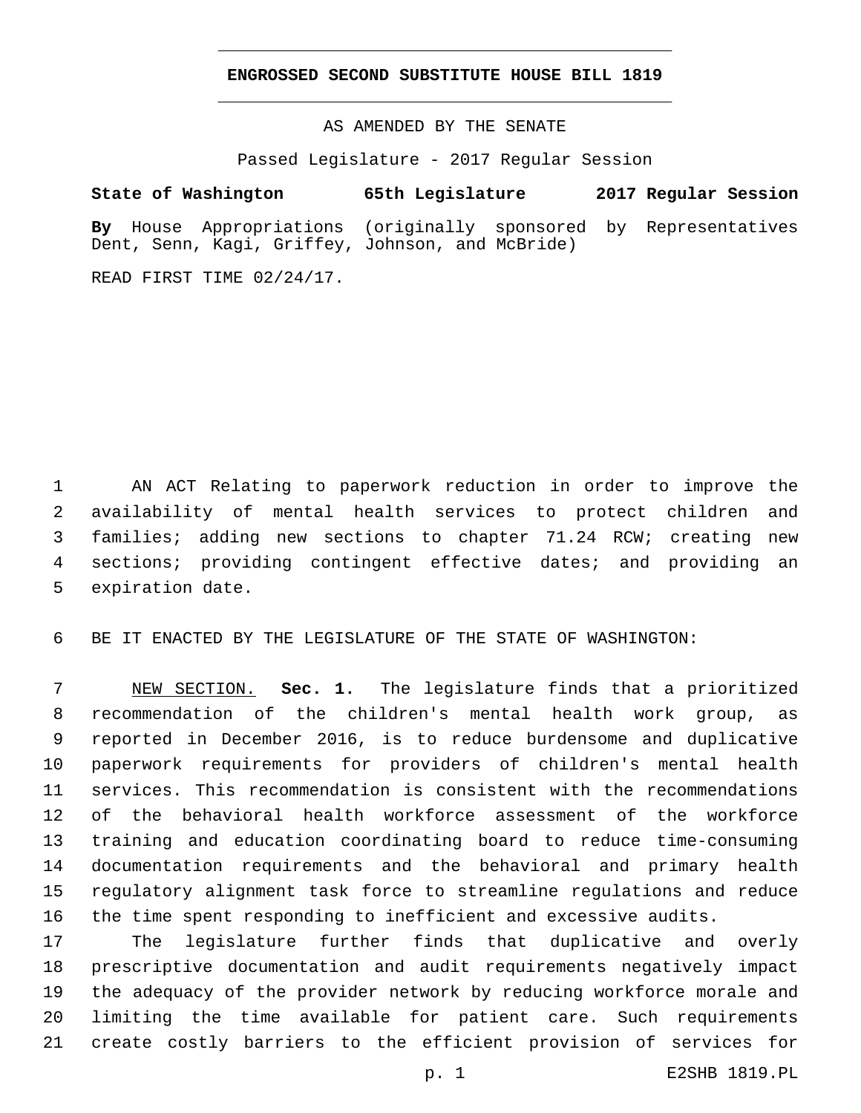## **ENGROSSED SECOND SUBSTITUTE HOUSE BILL 1819**

AS AMENDED BY THE SENATE

Passed Legislature - 2017 Regular Session

# **State of Washington 65th Legislature 2017 Regular Session**

**By** House Appropriations (originally sponsored by Representatives Dent, Senn, Kagi, Griffey, Johnson, and McBride)

READ FIRST TIME 02/24/17.

 AN ACT Relating to paperwork reduction in order to improve the availability of mental health services to protect children and families; adding new sections to chapter 71.24 RCW; creating new sections; providing contingent effective dates; and providing an 5 expiration date.

BE IT ENACTED BY THE LEGISLATURE OF THE STATE OF WASHINGTON:

 NEW SECTION. **Sec. 1.** The legislature finds that a prioritized recommendation of the children's mental health work group, as reported in December 2016, is to reduce burdensome and duplicative paperwork requirements for providers of children's mental health services. This recommendation is consistent with the recommendations of the behavioral health workforce assessment of the workforce training and education coordinating board to reduce time-consuming documentation requirements and the behavioral and primary health regulatory alignment task force to streamline regulations and reduce the time spent responding to inefficient and excessive audits.

 The legislature further finds that duplicative and overly prescriptive documentation and audit requirements negatively impact the adequacy of the provider network by reducing workforce morale and limiting the time available for patient care. Such requirements create costly barriers to the efficient provision of services for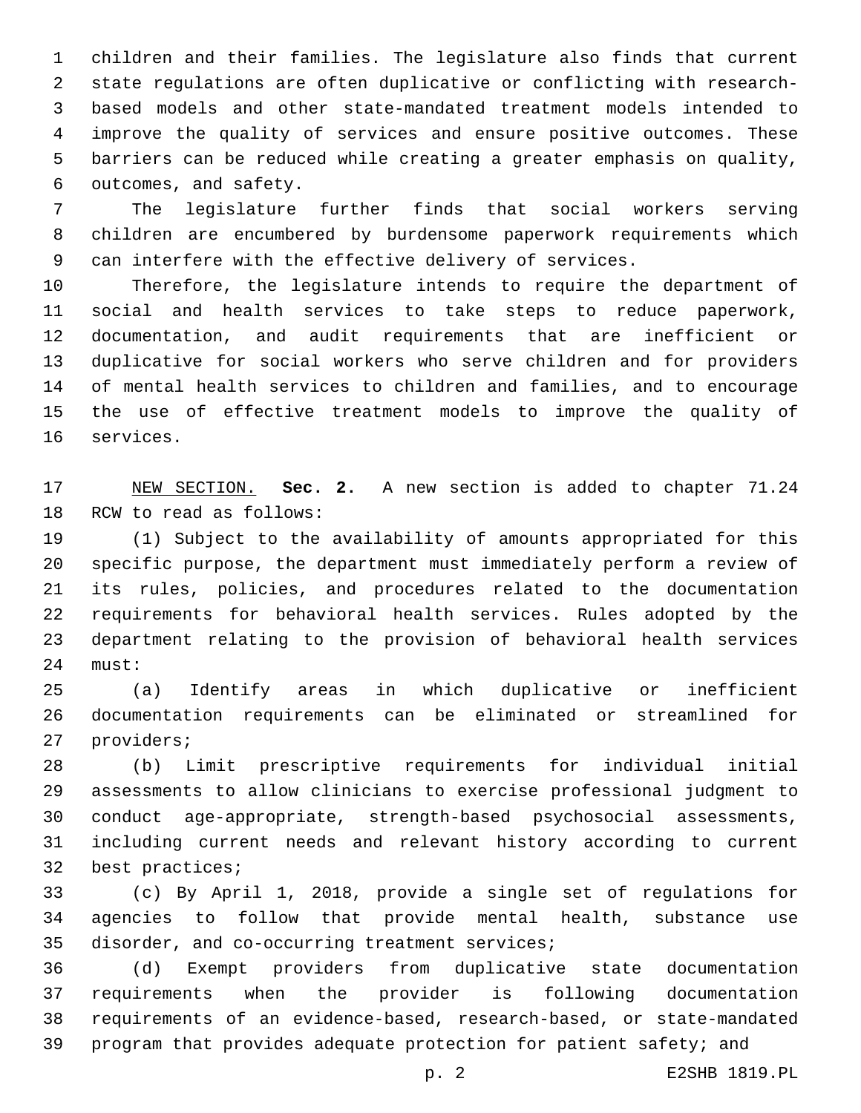children and their families. The legislature also finds that current state regulations are often duplicative or conflicting with research- based models and other state-mandated treatment models intended to improve the quality of services and ensure positive outcomes. These barriers can be reduced while creating a greater emphasis on quality, 6 outcomes, and safety.

 The legislature further finds that social workers serving children are encumbered by burdensome paperwork requirements which can interfere with the effective delivery of services.

 Therefore, the legislature intends to require the department of social and health services to take steps to reduce paperwork, documentation, and audit requirements that are inefficient or duplicative for social workers who serve children and for providers of mental health services to children and families, and to encourage the use of effective treatment models to improve the quality of 16 services.

 NEW SECTION. **Sec. 2.** A new section is added to chapter 71.24 18 RCW to read as follows:

 (1) Subject to the availability of amounts appropriated for this specific purpose, the department must immediately perform a review of its rules, policies, and procedures related to the documentation requirements for behavioral health services. Rules adopted by the department relating to the provision of behavioral health services 24 must:

 (a) Identify areas in which duplicative or inefficient documentation requirements can be eliminated or streamlined for 27 providers;

 (b) Limit prescriptive requirements for individual initial assessments to allow clinicians to exercise professional judgment to conduct age-appropriate, strength-based psychosocial assessments, including current needs and relevant history according to current 32 best practices;

 (c) By April 1, 2018, provide a single set of regulations for agencies to follow that provide mental health, substance use 35 disorder, and co-occurring treatment services;

 (d) Exempt providers from duplicative state documentation requirements when the provider is following documentation requirements of an evidence-based, research-based, or state-mandated program that provides adequate protection for patient safety; and

p. 2 E2SHB 1819.PL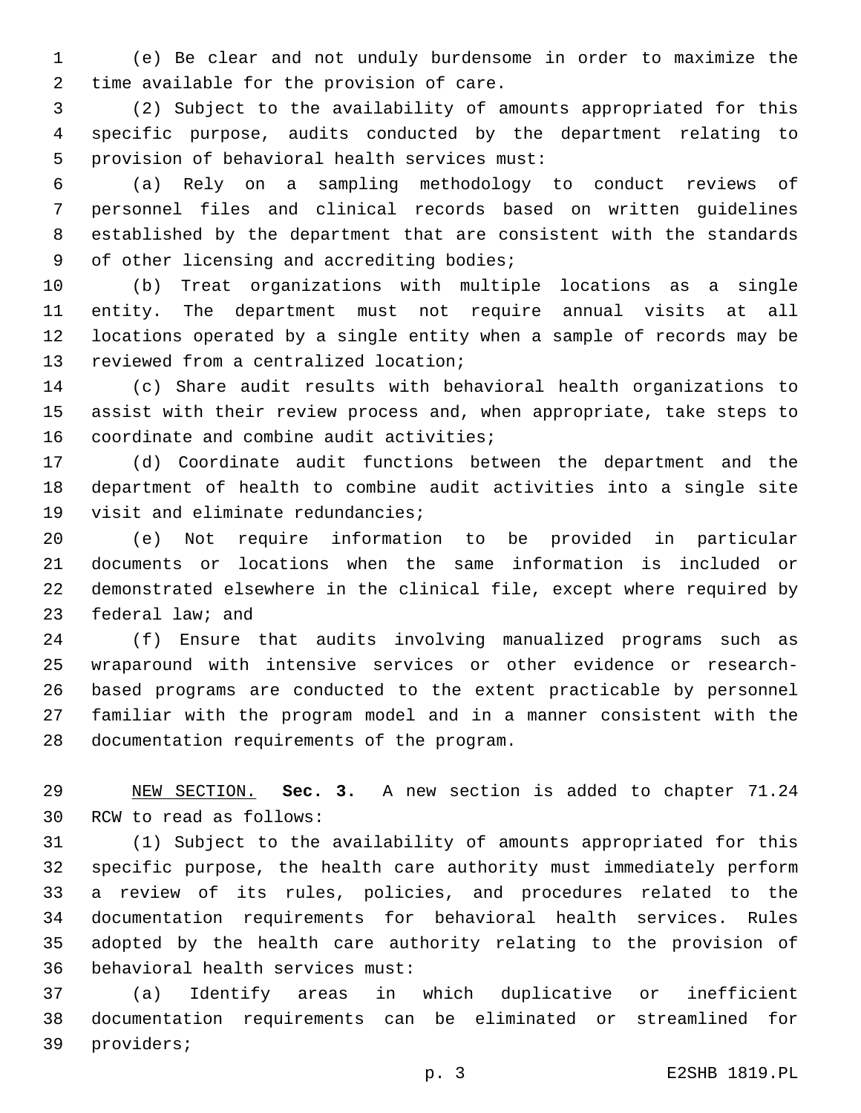(e) Be clear and not unduly burdensome in order to maximize the 2 time available for the provision of care.

 (2) Subject to the availability of amounts appropriated for this specific purpose, audits conducted by the department relating to 5 provision of behavioral health services must:

 (a) Rely on a sampling methodology to conduct reviews of personnel files and clinical records based on written guidelines established by the department that are consistent with the standards 9 of other licensing and accrediting bodies;

 (b) Treat organizations with multiple locations as a single entity. The department must not require annual visits at all locations operated by a single entity when a sample of records may be 13 reviewed from a centralized location;

 (c) Share audit results with behavioral health organizations to assist with their review process and, when appropriate, take steps to 16 coordinate and combine audit activities;

 (d) Coordinate audit functions between the department and the department of health to combine audit activities into a single site 19 visit and eliminate redundancies;

 (e) Not require information to be provided in particular documents or locations when the same information is included or demonstrated elsewhere in the clinical file, except where required by 23 federal law; and

 (f) Ensure that audits involving manualized programs such as wraparound with intensive services or other evidence or research- based programs are conducted to the extent practicable by personnel familiar with the program model and in a manner consistent with the 28 documentation requirements of the program.

 NEW SECTION. **Sec. 3.** A new section is added to chapter 71.24 30 RCW to read as follows:

 (1) Subject to the availability of amounts appropriated for this specific purpose, the health care authority must immediately perform a review of its rules, policies, and procedures related to the documentation requirements for behavioral health services. Rules adopted by the health care authority relating to the provision of 36 behavioral health services must:

 (a) Identify areas in which duplicative or inefficient documentation requirements can be eliminated or streamlined for 39 providers;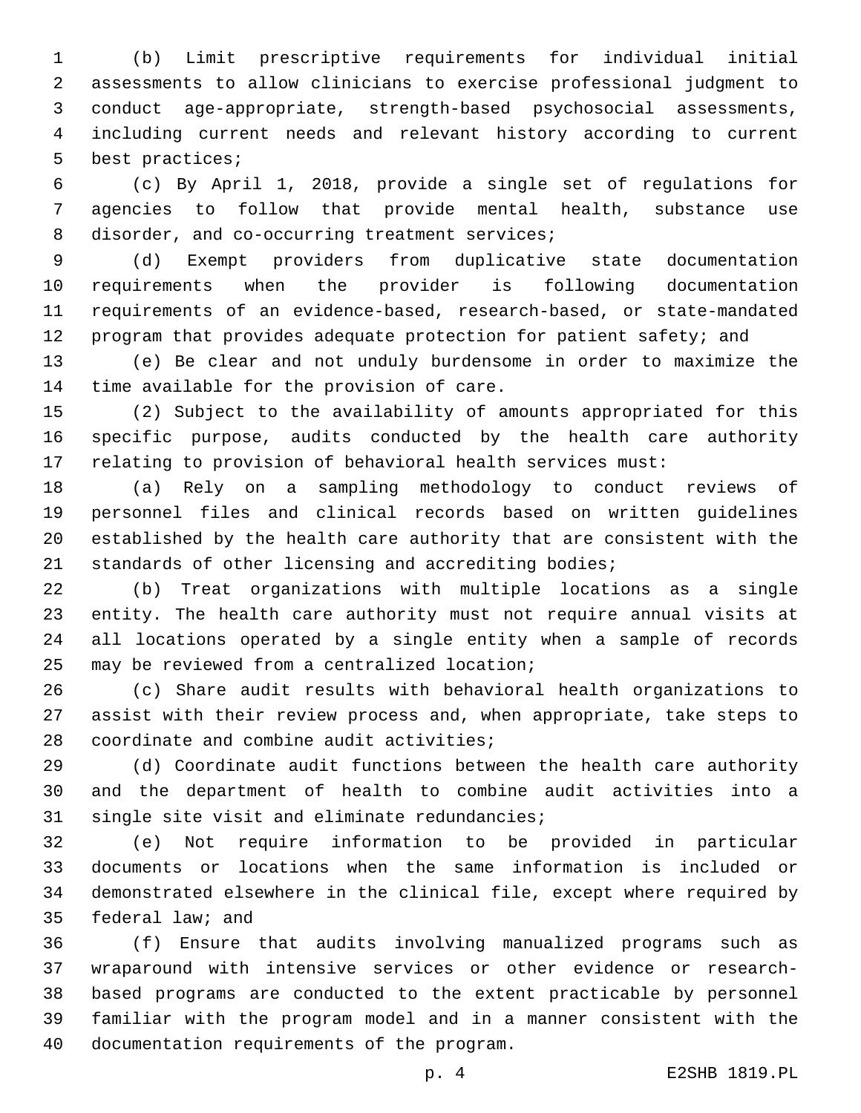(b) Limit prescriptive requirements for individual initial assessments to allow clinicians to exercise professional judgment to conduct age-appropriate, strength-based psychosocial assessments, including current needs and relevant history according to current 5 best practices;

 (c) By April 1, 2018, provide a single set of regulations for agencies to follow that provide mental health, substance use 8 disorder, and co-occurring treatment services;

 (d) Exempt providers from duplicative state documentation requirements when the provider is following documentation requirements of an evidence-based, research-based, or state-mandated 12 program that provides adequate protection for patient safety; and

 (e) Be clear and not unduly burdensome in order to maximize the 14 time available for the provision of care.

 (2) Subject to the availability of amounts appropriated for this specific purpose, audits conducted by the health care authority relating to provision of behavioral health services must:

 (a) Rely on a sampling methodology to conduct reviews of personnel files and clinical records based on written guidelines established by the health care authority that are consistent with the standards of other licensing and accrediting bodies;

 (b) Treat organizations with multiple locations as a single entity. The health care authority must not require annual visits at all locations operated by a single entity when a sample of records 25 may be reviewed from a centralized location;

 (c) Share audit results with behavioral health organizations to assist with their review process and, when appropriate, take steps to 28 coordinate and combine audit activities;

 (d) Coordinate audit functions between the health care authority and the department of health to combine audit activities into a 31 single site visit and eliminate redundancies;

 (e) Not require information to be provided in particular documents or locations when the same information is included or demonstrated elsewhere in the clinical file, except where required by 35 federal law; and

 (f) Ensure that audits involving manualized programs such as wraparound with intensive services or other evidence or research- based programs are conducted to the extent practicable by personnel familiar with the program model and in a manner consistent with the 40 documentation requirements of the program.